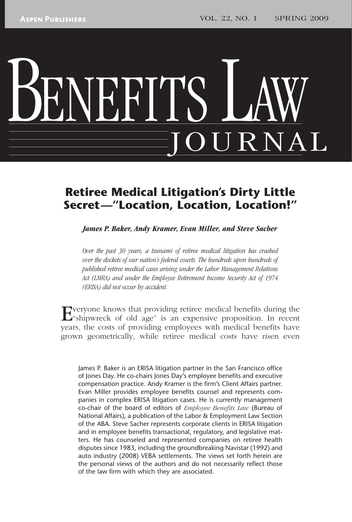# BENEFITS LAW JOURNAL

# **Retiree Medical Litigation's Dirty Little Secret—"Location, Location, Location!"**

 *James P. Baker, Andy Kramer, Evan Miller, and Steve Sacher* 

 *Over the past 30 years, a tsunami of retiree medical litigation has crashed over the dockets of our nation's federal courts. The hundreds upon hundreds of published retiree medical cases arising under the Labor Management Relations Act (LMRA) and under the Employee Retirement Income Security Act of 1974 (ERISA) did not occur by accident.* 

Everyone knows that providing retiree medical benefits during the "shipwreck of old age" is an arm of the state of  $\sim$ "shipwreck of old age" is an expensive proposition. In recent years, the costs of providing employees with medical benefits have grown geometrically, while retiree medical costs have risen even

James P. Baker is an ERISA litigation partner in the San Francisco office of Jones Day. He co-chairs Jones Day's employee benefits and executive compensation practice. Andy Kramer is the firm's Client Affairs partner. Evan Miller provides employee benefits counsel and represents companies in complex ERISA litigation cases. He is currently management co-chair of the board of editors of *Employee Benefits Law* (Bureau of National Affairs), a publication of the Labor & Employment Law Section of the ABA. Steve Sacher represents corporate clients in ERISA litigation and in employee benefits transactional, regulatory, and legislative matters. He has counseled and represented companies on retiree health disputes since 1983, including the groundbreaking Navistar (1992) and auto industry (2008) VEBA settlements. The views set forth herein are the personal views of the authors and do not necessarily reflect those of the law firm with which they are associated.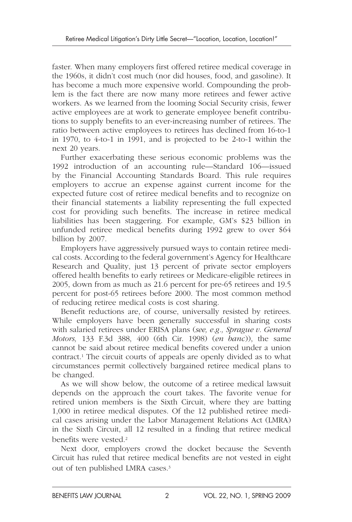faster. When many employers first offered retiree medical coverage in the 1960s, it didn't cost much (nor did houses, food, and gasoline). It has become a much more expensive world. Compounding the problem is the fact there are now many more retirees and fewer active workers. As we learned from the looming Social Security crisis, fewer active employees are at work to generate employee benefit contributions to supply benefits to an ever-increasing number of retirees. The ratio between active employees to retirees has declined from 16-to-1 in 1970, to 4-to-1 in 1991, and is projected to be 2-to-1 within the next 20 years.

Further exacerbating these serious economic problems was the 1992 introduction of an accounting rule—Standard 106—issued by the Financial Accounting Standards Board. This rule requires employers to accrue an expense against current income for the expected future cost of retiree medical benefits and to recognize on their financial statements a liability representing the full expected cost for providing such benefits. The increase in retiree medical liabilities has been staggering. For example, GM's \$23 billion in unfunded retiree medical benefits during 1992 grew to over \$64 billion by 2007.

Employers have aggressively pursued ways to contain retiree medical costs. According to the federal government's Agency for Healthcare Research and Quality, just 13 percent of private sector employers offered health benefits to early retirees or Medicare- eligible retirees in 2005, down from as much as 21.6 percent for pre-65 retirees and 19.5 percent for post-65 retirees before 2000. The most common method of reducing retiree medical costs is cost sharing.

Benefit reductions are, of course, universally resisted by retirees. While employers have been generally successful in sharing costs with salaried retirees under ERISA plans ( *see, e.g., Sprague v. General Motors*, 133 F.3d 388, 400 (6th Cir. 1998) (*en banc*)), the same cannot be said about retiree medical benefits covered under a union contract.<sup>1</sup> The circuit courts of appeals are openly divided as to what circumstances permit collectively bargained retiree medical plans to be changed.

As we will show below, the outcome of a retiree medical lawsuit depends on the approach the court takes. The favorite venue for retired union members is the Sixth Circuit, where they are batting 1,000 in retiree medical disputes. Of the 12 published retiree medical cases arising under the Labor Management Relations Act (LMRA) in the Sixth Circuit, all 12 resulted in a finding that retiree medical benefits were vested.<sup>2</sup>

Next door, employers crowd the docket because the Seventh Circuit has ruled that retiree medical benefits are not vested in eight out of ten published LMRA cases. 3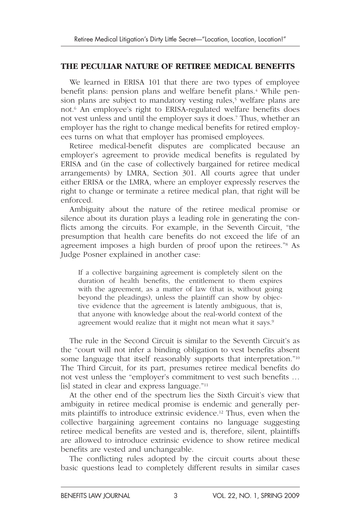#### **THE PECULIAR NATURE OF RETIREE MEDICAL BENEFITS**

We learned in ERISA 101 that there are two types of employee benefit plans: pension plans and welfare benefit plans.<sup>4</sup> While pension plans are subject to mandatory vesting rules,<sup>5</sup> welfare plans are not.<sup>6</sup> An employee's right to ERISA-regulated welfare benefits does not vest unless and until the employer says it does. 7 Thus, whether an employer has the right to change medical benefits for retired employees turns on what that employer has promised employees.

Retiree medical-benefit disputes are complicated because an employer's agreement to provide medical benefits is regulated by ERISA and (in the case of collectively bargained for retiree medical arrangements) by LMRA, Section 301. All courts agree that under either ERISA or the LMRA, where an employer expressly reserves the right to change or terminate a retiree medical plan, that right will be enforced.

Ambiguity about the nature of the retiree medical promise or silence about its duration plays a leading role in generating the conflicts among the circuits. For example, in the Seventh Circuit, "the presumption that health care benefits do not exceed the life of an agreement imposes a high burden of proof upon the retirees."<sup>8</sup> As Judge Posner explained in another case:

If a collective bargaining agreement is completely silent on the duration of health benefits, the entitlement to them expires with the agreement, as a matter of law (that is, without going beyond the pleadings), unless the plaintiff can show by objective evidence that the agreement is latently ambiguous, that is, that anyone with knowledge about the real-world context of the agreement would realize that it might not mean what it says.<sup>9</sup>

The rule in the Second Circuit is similar to the Seventh Circuit's as the "court will not infer a binding obligation to vest benefits absent some language that itself reasonably supports that interpretation."<sup>10</sup> The Third Circuit, for its part, presumes retiree medical benefits do not vest unless the "employer's commitment to vest such benefits … [is] stated in clear and express language. $"11$ 

At the other end of the spectrum lies the Sixth Circuit's view that ambiguity in retiree medical promise is endemic and generally permits plaintiffs to introduce extrinsic evidence. 12 Thus, even when the collective bargaining agreement contains no language suggesting retiree medical benefits are vested and is, therefore, silent, plaintiffs are allowed to introduce extrinsic evidence to show retiree medical benefits are vested and unchangeable.

The conflicting rules adopted by the circuit courts about these basic questions lead to completely different results in similar cases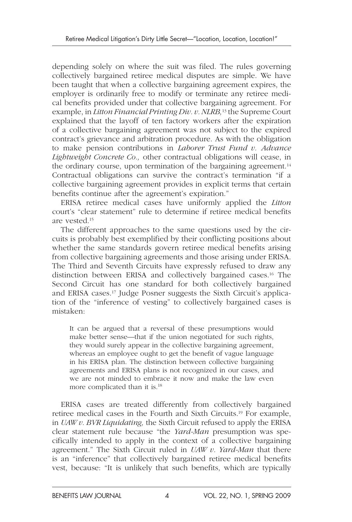depending solely on where the suit was filed. The rules governing collectively bargained retiree medical disputes are simple. We have been taught that when a collective bargaining agreement expires, the employer is ordinarily free to modify or terminate any retiree medical benefits provided under that collective bargaining agreement. For example, in *Litton Financial Printing Div. v. NLRB,*13 the Supreme Court explained that the layoff of ten factory workers after the expiration of a collective bargaining agreement was not subject to the expired contract's grievance and arbitration procedure. As with the obligation to make pension contributions in *Laborer Trust Fund v. Advance Lightweight Concrete Co.,* other contractual obligations will cease, in the ordinary course, upon termination of the bargaining agreement.<sup>14</sup> Contractual obligations can survive the contract's termination "if a collective bargaining agreement provides in explicit terms that certain benefits continue after the agreement's expiration."

ERISA retiree medical cases have uniformly applied the *Litton* court's "clear statement" rule to determine if retiree medical benefits are vested. 15

The different approaches to the same questions used by the circuits is probably best exemplified by their conflicting positions about whether the same standards govern retiree medical benefits arising from collective bargaining agreements and those arising under ERISA. The Third and Seventh Circuits have expressly refused to draw any distinction between ERISA and collectively bargained cases. 16 The Second Circuit has one standard for both collectively bargained and ERISA cases. 17 Judge Posner suggests the Sixth Circuit's application of the "inference of vesting" to collectively bargained cases is mistaken:

It can be argued that a reversal of these presumptions would make better sense—that if the union negotiated for such rights, they would surely appear in the collective bargaining agreement, whereas an employee ought to get the benefit of vague language in his ERISA plan. The distinction between collective bargaining agreements and ERISA plans is not recognized in our cases, and we are not minded to embrace it now and make the law even more complicated than it is. 18

ERISA cases are treated differently from collectively bargained retiree medical cases in the Fourth and Sixth Circuits. 19 For example, in *UAW v. BVR Liquidating,* the Sixth Circuit refused to apply the ERISA clear statement rule because "the *Yard-Man* presumption was specifically intended to apply in the context of a collective bargaining agreement." The Sixth Circuit ruled in *UAW v. Yard-Man* that there is an "inference" that collectively bargained retiree medical benefits vest, because: "It is unlikely that such benefits, which are typically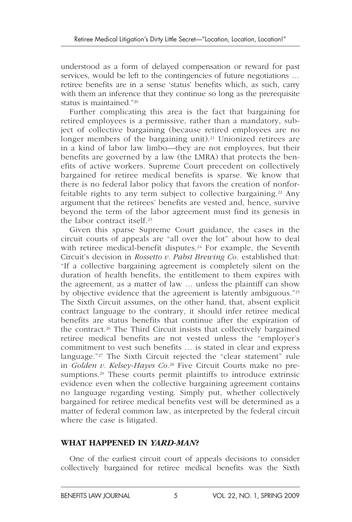understood as a form of delayed compensation or reward for past services, would be left to the contingencies of future negotiations … retiree benefits are in a sense 'status' benefits which, as such, carry with them an inference that they continue so long as the prerequisite status is maintained."<sup>20</sup>

Further complicating this area is the fact that bargaining for retired employees is a permissive, rather than a mandatory, subject of collective bargaining (because retired employees are no longer members of the bargaining unit).<sup>21</sup> Unionized retirees are in a kind of labor law limbo—they are not employees, but their benefits are governed by a law (the LMRA) that protects the benefits of active workers. Supreme Court precedent on collectively bargained for retiree medical benefits is sparse. We know that there is no federal labor policy that favors the creation of nonforfeitable rights to any term subject to collective bargaining.<sup>22</sup> Any argument that the retirees' benefits are vested and, hence, survive beyond the term of the labor agreement must find its genesis in the labor contract itself.<sup>23</sup>

Given this sparse Supreme Court guidance, the cases in the circuit courts of appeals are "all over the lot" about how to deal with retiree medical-benefit disputes.<sup>24</sup> For example, the Seventh Circuit's decision in *Rossetto v. Pabst Brewing Co.* established that: "If a collective bargaining agreement is completely silent on the duration of health benefits, the entitlement to them expires with the agreement, as a matter of law … unless the plaintiff can show by objective evidence that the agreement is latently ambiguous."25 The Sixth Circuit assumes, on the other hand, that, absent explicit contract language to the contrary, it should infer retiree medical benefits are status benefits that continue after the expiration of the contract. 26 The Third Circuit insists that collectively bargained retiree medical benefits are not vested unless the "employer's commitment to vest such benefits … is stated in clear and express language."<sup>27</sup> The Sixth Circuit rejected the "clear statement" rule in *Golden v. Kelsey-Hayes Co.*<sup>28</sup> Five Circuit Courts make no presumptions.<sup>29</sup> These courts permit plaintiffs to introduce extrinsic evidence even when the collective bargaining agreement contains no language regarding vesting. Simply put, whether collectively bargained for retiree medical benefits vest will be determined as a matter of federal common law, as interpreted by the federal circuit where the case is litigated.

#### **WHAT HAPPENED IN** *YARD-MAN***?**

One of the earliest circuit court of appeals decisions to consider collectively bargained for retiree medical benefits was the Sixth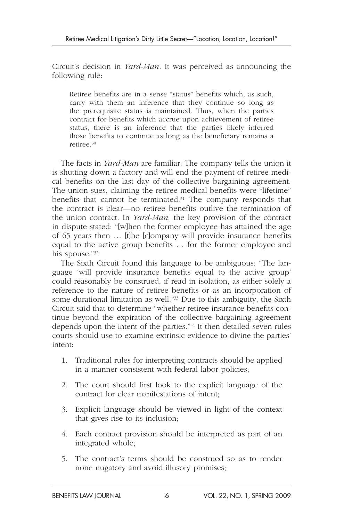Circuit's decision in *Yard-Man.* It was perceived as announcing the following rule:

Retiree benefits are in a sense "status" benefits which, as such, carry with them an inference that they continue so long as the prerequisite status is maintained. Thus, when the parties contract for benefits which accrue upon achievement of retiree status, there is an inference that the parties likely inferred those benefits to continue as long as the beneficiary remains a retiree. 30

The facts in *Yard-Man* are familiar: The company tells the union it is shutting down a factory and will end the payment of retiree medical benefits on the last day of the collective bargaining agreement. The union sues, claiming the retiree medical benefits were "lifetime" benefits that cannot be terminated.<sup>31</sup> The company responds that the contract is clear—no retiree benefits outlive the termination of the union contract. In *Yard-Man,* the key provision of the contract in dispute stated: "[w]hen the former employee has attained the age of 65 years then … [t]he [c]ompany will provide insurance benefits equal to the active group benefits … for the former employee and his spouse."32

The Sixth Circuit found this language to be ambiguous: "The language 'will provide insurance benefits equal to the active group' could reasonably be construed, if read in isolation, as either solely a reference to the nature of retiree benefits or as an incorporation of some durational limitation as well."<sup>33</sup> Due to this ambiguity, the Sixth Circuit said that to determine "whether retiree insurance benefits continue beyond the expiration of the collective bargaining agreement depends upon the intent of the parties."<sup>34</sup> It then detailed seven rules courts should use to examine extrinsic evidence to divine the parties' intent:

- 1. Traditional rules for interpreting contracts should be applied in a manner consistent with federal labor policies;
- 2. The court should first look to the explicit language of the contract for clear manifestations of intent;
- 3. Explicit language should be viewed in light of the context that gives rise to its inclusion;
- 4. Each contract provision should be interpreted as part of an integrated whole;
- 5. The contract's terms should be construed so as to render none nugatory and avoid illusory promises;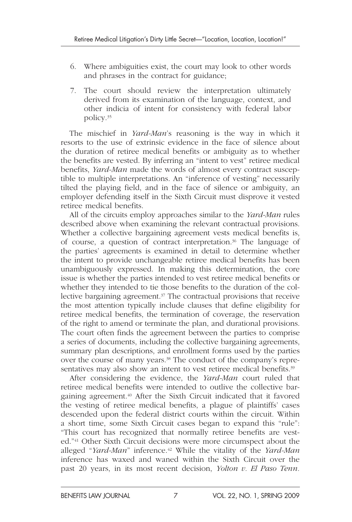- 6. Where ambiguities exist, the court may look to other words and phrases in the contract for guidance;
- 7. The court should review the interpretation ultimately derived from its examination of the language, context, and other indicia of intent for consistency with federal labor policy. 35

The mischief in *Yard-Man*'s reasoning is the way in which it resorts to the use of extrinsic evidence in the face of silence about the duration of retiree medical benefits or ambiguity as to whether the benefits are vested. By inferring an "intent to vest" retiree medical benefits, *Yard-Man* made the words of almost every contract susceptible to multiple interpretations. An "inference of vesting" necessarily tilted the playing field, and in the face of silence or ambiguity, an employer defending itself in the Sixth Circuit must disprove it vested retiree medical benefits.

All of the circuits employ approaches similar to the *Yard-Man* rules described above when examining the relevant contractual provisions. Whether a collective bargaining agreement vests medical benefits is, of course, a question of contract interpretation.<sup>36</sup> The language of the parties' agreements is examined in detail to determine whether the intent to provide unchangeable retiree medical benefits has been unambiguously expressed. In making this determination, the core issue is whether the parties intended to vest retiree medical benefits or whether they intended to tie those benefits to the duration of the collective bargaining agreement. 37 The contractual provisions that receive the most attention typically include clauses that define eligibility for retiree medical benefits, the termination of coverage, the reservation of the right to amend or terminate the plan, and durational provisions. The court often finds the agreement between the parties to comprise a series of documents, including the collective bargaining agreements, summary plan descriptions, and enrollment forms used by the parties over the course of many years. 38 The conduct of the company's representatives may also show an intent to vest retiree medical benefits.<sup>39</sup>

After considering the evidence, the *Yard-Man* court ruled that retiree medical benefits were intended to outlive the collective bargaining agreement. 40 After the Sixth Circuit indicated that it favored the vesting of retiree medical benefits, a plague of plaintiffs' cases descended upon the federal district courts within the circuit. Within a short time, some Sixth Circuit cases began to expand this "rule": "This court has recognized that normally retiree benefits are vested."<sup>41</sup> Other Sixth Circuit decisions were more circumspect about the alleged " *Yard-Man*" inference. 42 While the vitality of the *Yard-Man* inference has waxed and waned within the Sixth Circuit over the past 20 years, in its most recent decision, *Yolton v. El Paso Tenn.*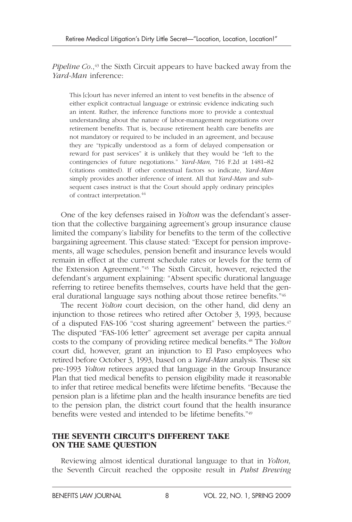*Pipeline Co.*,<sup>43</sup> the Sixth Circuit appears to have backed away from the *Yard-Man* inference:

This [c]ourt has never inferred an intent to vest benefits in the absence of either explicit contractual language or extrinsic evidence indicating such an intent. Rather, the inference functions more to provide a contextual understanding about the nature of labor-management negotiations over retirement benefits. That is, because retirement health care benefits are not mandatory or required to be included in an agreement, and because they are "typically understood as a form of delayed compensation or reward for past services" it is unlikely that they would be "left to the contingencies of future negotiations." *Yard-Man,* 716 F.2d at 1481–82 (citations omitted). If other contextual factors so indicate, *Yard-Man* simply provides another inference of intent. All that *Yard-Man* and subsequent cases instruct is that the Court should apply ordinary principles of contract interpretation. 44

One of the key defenses raised in *Yolton* was the defendant's assertion that the collective bargaining agreement's group insurance clause limited the company's liability for benefits to the term of the collective bargaining agreement. This clause stated: "Except for pension improvements, all wage schedules, pension benefit and insurance levels would remain in effect at the current schedule rates or levels for the term of the Extension Agreement."<sup>45</sup> The Sixth Circuit, however, rejected the defendant's argument explaining: "Absent specific durational language referring to retiree benefits themselves, courts have held that the general durational language says nothing about those retiree benefits."<sup>46</sup>

The recent *Yolton* court decision, on the other hand, did deny an injunction to those retirees who retired after October 3, 1993, because of a disputed FAS-106 "cost sharing agreement" between the parties.<sup>47</sup> The disputed "FAS-106 letter" agreement set average per capita annual costs to the company of providing retiree medical benefits. 48 The *Yolton* court did, however, grant an injunction to El Paso employees who retired before October 3, 1993, based on a *Yard-Man* analysis. These six pre-1993 *Yolton* retirees argued that language in the Group Insurance Plan that tied medical benefits to pension eligibility made it reasonable to infer that retiree medical benefits were lifetime benefits. "Because the pension plan is a lifetime plan and the health insurance benefits are tied to the pension plan, the district court found that the health insurance benefits were vested and intended to be lifetime benefits."<sup>49</sup>

#### **THE SEVENTH CIRCUIT'S DIFFERENT TAKE ON THE SAME QUESTION**

Reviewing almost identical durational language to that in *Yolton,* the Seventh Circuit reached the opposite result in *Pabst Brewing*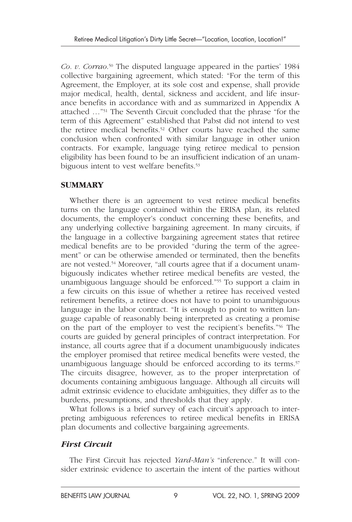Co. v. Corrao.<sup>50</sup> The disputed language appeared in the parties' 1984 collective bargaining agreement, which stated: "For the term of this Agreement, the Employer, at its sole cost and expense, shall provide major medical, health, dental, sickness and accident, and life insurance benefits in accordance with and as summarized in Appendix A attached ..."<sup>51</sup> The Seventh Circuit concluded that the phrase "for the term of this Agreement" established that Pabst did not intend to vest the retiree medical benefits.<sup>52</sup> Other courts have reached the same conclusion when confronted with similar language in other union contracts. For example, language tying retiree medical to pension eligibility has been found to be an insufficient indication of an unambiguous intent to vest welfare benefits.<sup>53</sup>

#### **SUMMARY**

Whether there is an agreement to vest retiree medical benefits turns on the language contained within the ERISA plan, its related documents, the employer's conduct concerning these benefits, and any underlying collective bargaining agreement. In many circuits, if the language in a collective bargaining agreement states that retiree medical benefits are to be provided "during the term of the agreement" or can be otherwise amended or terminated, then the benefits are not vested. 54 Moreover, "all courts agree that if a document unambiguously indicates whether retiree medical benefits are vested, the unambiguous language should be enforced."<sup>55</sup> To support a claim in a few circuits on this issue of whether a retiree has received vested retirement benefits, a retiree does not have to point to unambiguous language in the labor contract. "It is enough to point to written language capable of reasonably being interpreted as creating a promise on the part of the employer to vest the recipient's benefits."<sup>56</sup> The courts are guided by general principles of contract interpretation. For instance, all courts agree that if a document unambiguously indicates the employer promised that retiree medical benefits were vested, the unambiguous language should be enforced according to its terms.<sup>57</sup> The circuits disagree, however, as to the proper interpretation of documents containing ambiguous language. Although all circuits will admit extrinsic evidence to elucidate ambiguities, they differ as to the burdens, presumptions, and thresholds that they apply.

What follows is a brief survey of each circuit's approach to interpreting ambiguous references to retiree medical benefits in ERISA plan documents and collective bargaining agreements.

# *First Circuit*

The First Circuit has rejected *Yard-Man's* "inference." It will consider extrinsic evidence to ascertain the intent of the parties without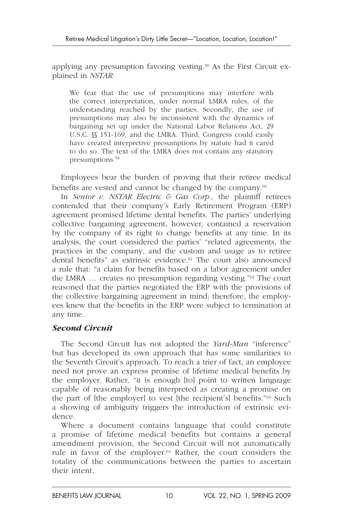applying any presumption favoring vesting. 58 As the First Circuit explained in *NSTAR:*

We fear that the use of presumptions may interfere with the correct interpretation, under normal LMRA rules, of the understanding reached by the parties. Secondly, the use of presumptions may also be inconsistent with the dynamics of bargaining set up under the National Labor Relations Act, 29 U.S.C. §§ 151-169, and the LMRA. Third, Congress could easily have created interpretive presumptions by statute had it cared to do so. The text of the LMRA does not contain any statutory presumptions. 59

Employees bear the burden of proving that their retiree medical benefits are vested and cannot be changed by the company.<sup>60</sup>

In *Senior v. NSTAR Electric & Gas Corp.,* the plaintiff retirees contended that their company's Early Retirement Program (ERP) agreement promised lifetime dental benefits. The parties' underlying collective bargaining agreement, however, contained a reservation by the company of its right to change benefits at any time. In its analysis, the court considered the parties' "related agreements, the practices in the company, and the custom and usage as to retiree dental benefits" as extrinsic evidence. 61 The court also announced a rule that: "a claim for benefits based on a labor agreement under the LMRA  $\ldots$  creates no presumption regarding vesting." $62$  The court reasoned that the parties negotiated the ERP with the provisions of the collective bargaining agreement in mind; therefore, the employees knew that the benefits in the ERP were subject to termination at any time.

#### *Second Circuit*

The Second Circuit has not adopted the *Yard-Man* "inference" but has developed its own approach that has some similarities to the Seventh Circuit's approach. To reach a trier of fact, an employee need not prove an express promise of lifetime medical benefits by the employer. Rather, "it is enough [to] point to written language capable of reasonably being interpreted as creating a promise on the part of [the employer] to vest [the recipient's] benefits."<sup>63</sup> Such a showing of ambiguity triggers the introduction of extrinsic evidence.

Where a document contains language that could constitute a promise of lifetime medical benefits but contains a general amendment provision, the Second Circuit will not automatically rule in favor of the employer.<sup>64</sup> Rather, the court considers the totality of the communications between the parties to ascertain their intent.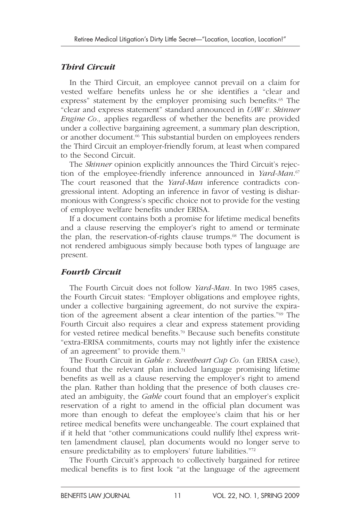# *Third Circuit*

In the Third Circuit, an employee cannot prevail on a claim for vested welfare benefits unless he or she identifies a "clear and express" statement by the employer promising such benefits.<sup>65</sup> The "clear and express statement" standard announced in *UAW v. Skinner Engine Co.,* applies regardless of whether the benefits are provided under a collective bargaining agreement, a summary plan description, or another document.<sup>66</sup> This substantial burden on employees renders the Third Circuit an employer-friendly forum, at least when compared to the Second Circuit.

The *Skinner* opinion explicitly announces the Third Circuit's rejection of the employee-friendly inference announced in *Yard-Man*.<sup>67</sup> The court reasoned that the *Yard-Man* inference contradicts congressional intent. Adopting an inference in favor of vesting is disharmonious with Congress's specific choice not to provide for the vesting of employee welfare benefits under ERISA.

If a document contains both a promise for lifetime medical benefits and a clause reserving the employer's right to amend or terminate the plan, the reservation-of-rights clause trumps.<sup>68</sup> The document is not rendered ambiguous simply because both types of language are present.

# *Fourth Circuit*

The Fourth Circuit does not follow *Yard-Man.* In two 1985 cases, the Fourth Circuit states: "Employer obligations and employee rights, under a collective bargaining agreement, do not survive the expiration of the agreement absent a clear intention of the parties."<sup>69</sup> The Fourth Circuit also requires a clear and express statement providing for vested retiree medical benefits. 70 Because such benefits constitute "extra-ERISA commitments, courts may not lightly infer the existence of an agreement" to provide them.<sup>71</sup>

The Fourth Circuit in *Gable v. Sweetheart Cup Co.* (an ERISA case), found that the relevant plan included language promising lifetime benefits as well as a clause reserving the employer's right to amend the plan. Rather than holding that the presence of both clauses created an ambiguity, the *Gable* court found that an employer's explicit reservation of a right to amend in the official plan document was more than enough to defeat the employee's claim that his or her retiree medical benefits were unchangeable. The court explained that if it held that "other communications could nullify [the] express written [amendment clause], plan documents would no longer serve to ensure predictability as to employers' future liabilities."72

The Fourth Circuit's approach to collectively bargained for retiree medical benefits is to first look "at the language of the agreement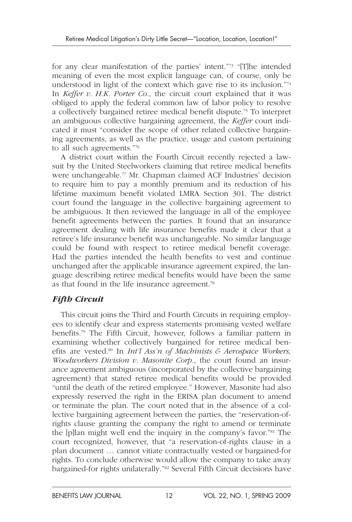for any clear manifestation of the parties' intent."<sup>73</sup> "[T]he intended meaning of even the most explicit language can, of course, only be understood in light of the context which gave rise to its inclusion."<sup>74</sup> In *Keffer v. H.K. Porter Co*., the circuit court explained that it was obliged to apply the federal common law of labor policy to resolve a collectively bargained retiree medical benefit dispute. 75 To interpret an ambiguous collective bargaining agreement, the *Keffer* court indicated it must "consider the scope of other related collective bargaining agreements, as well as the practice, usage and custom pertaining to all such agreements."<sup>76</sup>

A district court within the Fourth Circuit recently rejected a lawsuit by the United Steelworkers claiming that retiree medical benefits were unchangeable.<sup>77</sup> Mr. Chapman claimed ACF Industries' decision to require him to pay a monthly premium and its reduction of his lifetime maximum benefit violated LMRA Section 301. The district court found the language in the collective bargaining agreement to be ambiguous. It then reviewed the language in all of the employee benefit agreements between the parties. It found that an insurance agreement dealing with life insurance benefits made it clear that a retiree's life insurance benefit was unchangeable. No similar language could be found with respect to retiree medical benefit coverage. Had the parties intended the health benefits to vest and continue unchanged after the applicable insurance agreement expired, the language describing retiree medical benefits would have been the same as that found in the life insurance agreement.<sup>78</sup>

# *Fifth Circuit*

This circuit joins the Third and Fourth Circuits in requiring employees to identify clear and express statements promising vested welfare benefits.<sup>79</sup> The Fifth Circuit, however, follows a familiar pattern in examining whether collectively bargained for retiree medical benefits are vested.<sup>80</sup> In *Int'l Ass'n of Machinists & Aerospace Workers*, *Woodworkers Division v. Masonite Corp*., the court found an insurance agreement ambiguous (incorporated by the collective bargaining agreement) that stated retiree medical benefits would be provided "until the death of the retired employee." However, Masonite had also expressly reserved the right in the ERISA plan document to amend or terminate the plan. The court noted that in the absence of a collective bargaining agreement between the parties, the "reservation-ofrights clause granting the company the right to amend or terminate the [p]lan might well end the inquiry in the company's favor."<sup>81</sup> The court recognized, however, that "a reservation-of-rights clause in a plan document … cannot vitiate contractually vested or bargained-for rights. To conclude otherwise would allow the company to take away bargained-for rights unilaterally."<sup>82</sup> Several Fifth Circuit decisions have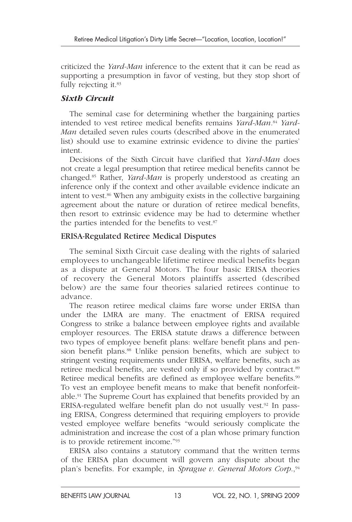criticized the *Yard-Man* inference to the extent that it can be read as supporting a presumption in favor of vesting, but they stop short of fully rejecting it.<sup>83</sup>

#### *Sixth Circuit*

The seminal case for determining whether the bargaining parties intended to vest retiree medical benefits remains *Yard-Man.*84 *Yard-Man* detailed seven rules courts (described above in the enumerated list) should use to examine extrinsic evidence to divine the parties' intent.

Decisions of the Sixth Circuit have clarified that *Yard-Man* does not create a legal presumption that retiree medical benefits cannot be changed. 85 Rather, *Yard-Man* is properly understood as creating an inference only if the context and other available evidence indicate an intent to vest. 86 When any ambiguity exists in the collective bargaining agreement about the nature or duration of retiree medical benefits, then resort to extrinsic evidence may be had to determine whether the parties intended for the benefits to vest.<sup>87</sup>

#### ERISA-Regulated Retiree Medical Disputes

The seminal Sixth Circuit case dealing with the rights of salaried employees to unchangeable lifetime retiree medical benefits began as a dispute at General Motors. The four basic ERISA theories of recovery the General Motors plaintiffs asserted (described below) are the same four theories salaried retirees continue to advance.

The reason retiree medical claims fare worse under ERISA than under the LMRA are many. The enactment of ERISA required Congress to strike a balance between employee rights and available employer resources. The ERISA statute draws a difference between two types of employee benefit plans: welfare benefit plans and pension benefit plans.<sup>88</sup> Unlike pension benefits, which are subject to stringent vesting requirements under ERISA, welfare benefits, such as retiree medical benefits, are vested only if so provided by contract.<sup>89</sup> Retiree medical benefits are defined as employee welfare benefits.<sup>90</sup> To vest an employee benefit means to make that benefit nonforfeitable. 91 The Supreme Court has explained that benefits provided by an ERISA-regulated welfare benefit plan do not usually vest.<sup>92</sup> In passing ERISA, Congress determined that requiring employers to provide vested employee welfare benefits "would seriously complicate the administration and increase the cost of a plan whose primary function is to provide retirement income."<sup>93</sup>

ERISA also contains a statutory command that the written terms of the ERISA plan document will govern any dispute about the plan's benefits. For example, in *Sprague v. General Motors Corp.*,<sup>94</sup>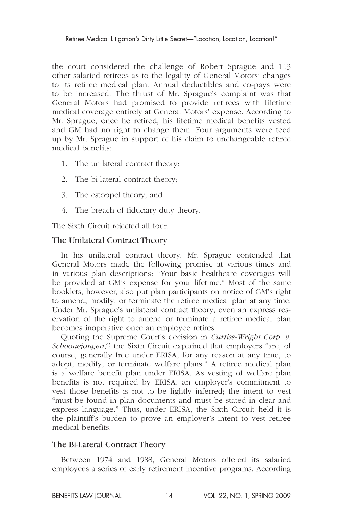the court considered the challenge of Robert Sprague and 113 other salaried retirees as to the legality of General Motors' changes to its retiree medical plan. Annual deductibles and co-pays were to be increased. The thrust of Mr. Sprague's complaint was that General Motors had promised to provide retirees with lifetime medical coverage entirely at General Motors' expense. According to Mr. Sprague, once he retired, his lifetime medical benefits vested and GM had no right to change them. Four arguments were teed up by Mr. Sprague in support of his claim to unchangeable retiree medical benefits:

- 1. The unilateral contract theory;
- 2. The bi-lateral contract theory;
- 3. The estoppel theory; and
- 4. The breach of fiduciary duty theory.

The Sixth Circuit rejected all four.

# The Unilateral Contract Theory

In his unilateral contract theory, Mr. Sprague contended that General Motors made the following promise at various times and in various plan descriptions: "Your basic healthcare coverages will be provided at GM's expense for your lifetime." Most of the same booklets, however, also put plan participants on notice of GM's right to amend, modify, or terminate the retiree medical plan at any time. Under Mr. Sprague's unilateral contract theory, even an express reservation of the right to amend or terminate a retiree medical plan becomes inoperative once an employee retires.

Quoting the Supreme Court's decision in *Curtiss-Wright Corp. v.*  Schoonejongen,<sup>95</sup> the Sixth Circuit explained that employers "are, of course, generally free under ERISA, for any reason at any time, to adopt, modify, or terminate welfare plans." A retiree medical plan is a welfare benefit plan under ERISA. As vesting of welfare plan benefits is not required by ERISA, an employer's commitment to vest those benefits is not to be lightly inferred; the intent to vest "must be found in plan documents and must be stated in clear and express language." Thus, under ERISA, the Sixth Circuit held it is the plaintiff's burden to prove an employer's intent to vest retiree medical benefits.

# The Bi-Lateral Contract Theory

Between 1974 and 1988, General Motors offered its salaried employees a series of early retirement incentive programs. According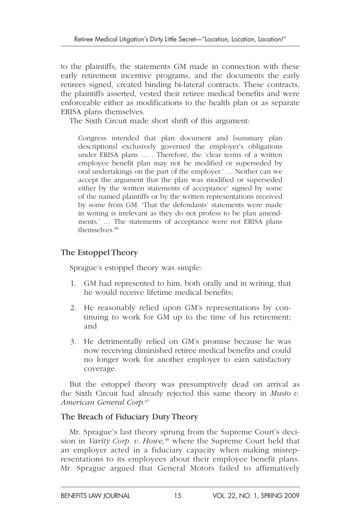to the plaintiffs, the statements GM made in connection with these early retirement incentive programs, and the documents the early retirees signed, created binding bi-lateral contracts. These contracts, the plaintiffs asserted, vested their retiree medical benefits and were enforceable either as modifications to the health plan or as separate ERISA plans themselves.

The Sixth Circuit made short shrift of this argument:

Congress intended that plan document and [summary plan descriptions] exclusively governed the employer's obligations under ERISA plans … . Therefore, the 'clear terms of a written employee benefit plan may not be modified or superseded by oral undertakings on the part of the employer.' … Neither can we accept the argument that the plan was modified or superseded either by the written statements of acceptance' signed by some of the named plaintiffs or by the written representations received by some from GM. 'That the defendants' statements were made in writing is irrelevant as they do not profess to be plan amendments.' … The statements of acceptance were not ERISA plans themselves. 96

#### The Estoppel Theory

Sprague's estoppel theory was simple:

- 1. GM had represented to him, both orally and in writing, that he would receive lifetime medical benefits;
- 2. He reasonably relied upon GM's representations by continuing to work for GM up to the time of his retirement; and
- 3. He detrimentally relied on GM's promise because he was now receiving diminished retiree medical benefits and could no longer work for another employer to earn satisfactory coverage.

But the estoppel theory was presumptively dead on arrival as the Sixth Circuit had already rejected this same theory in *Musto v.*  American General Corp.<sup>97</sup>

#### The Breach of Fiduciary Duty Theory

Mr. Sprague's last theory sprung from the Supreme Court's decision in *Varity Corp. v. Howe,*98 where the Supreme Court held that an employer acted in a fiduciary capacity when making misrepresentations to its employees about their employee benefit plans. Mr. Sprague argued that General Motors failed to affirmatively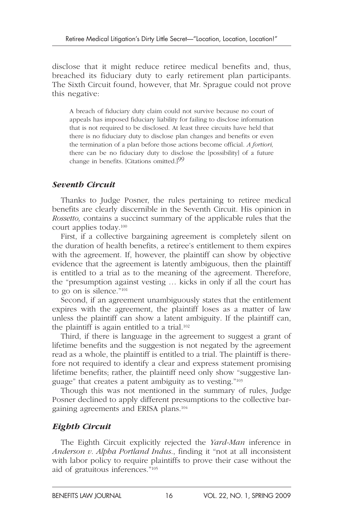disclose that it might reduce retiree medical benefits and, thus, breached its fiduciary duty to early retirement plan participants. The Sixth Circuit found, however, that Mr. Sprague could not prove this negative:

A breach of fiduciary duty claim could not survive because no court of appeals has imposed fiduciary liability for failing to disclose information that is not required to be disclosed. At least three circuits have held that there is no fiduciary duty to disclose plan changes and benefits or even the termination of a plan before those actions become official. *A fortiori,* there can be no fiduciary duty to disclose the [possibility] of a future change in benefits. [Citations omitted.] 99

# *Seventh Circuit*

Thanks to Judge Posner, the rules pertaining to retiree medical benefits are clearly discernible in the Seventh Circuit. His opinion in *Rossetto,* contains a succinct summary of the applicable rules that the court applies today. 100

First, if a collective bargaining agreement is completely silent on the duration of health benefits, a retiree's entitlement to them expires with the agreement. If, however, the plaintiff can show by objective evidence that the agreement is latently ambiguous, then the plaintiff is entitled to a trial as to the meaning of the agreement. Therefore, the "presumption against vesting … kicks in only if all the court has to go on is silence."<sup>101</sup>

Second, if an agreement unambiguously states that the entitlement expires with the agreement, the plaintiff loses as a matter of law unless the plaintiff can show a latent ambiguity. If the plaintiff can, the plaintiff is again entitled to a trial. $102$ 

Third, if there is language in the agreement to suggest a grant of lifetime benefits and the suggestion is not negated by the agreement read as a whole, the plaintiff is entitled to a trial. The plaintiff is therefore not required to identify a clear and express statement promising lifetime benefits; rather, the plaintiff need only show "suggestive language" that creates a patent ambiguity as to vesting." 103

Though this was not mentioned in the summary of rules, Judge Posner declined to apply different presumptions to the collective bargaining agreements and ERISA plans. 104

# *Eighth Circuit*

The Eighth Circuit explicitly rejected the *Yard-Man* inference in *Anderson v. Alpha Portland Indus*., finding it "not at all inconsistent with labor policy to require plaintiffs to prove their case without the aid of gratuitous inferences."<sup>105</sup>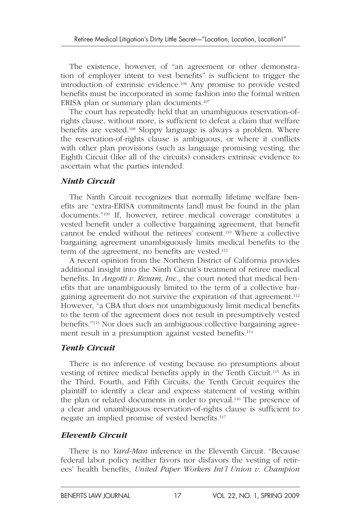The existence, however, of "an agreement or other demonstration of employer intent to vest benefits" is sufficient to trigger the introduction of extrinsic evidence. 106 Any promise to provide vested benefits must be incorporated in some fashion into the formal written ERISA plan or summary plan documents.<sup>107</sup>

The court has repeatedly held that an unambiguous reservation-ofrights clause, without more, is sufficient to defeat a claim that welfare benefits are vested.<sup>108</sup> Sloppy language is always a problem. Where the reservation-of-rights clause is ambiguous, or where it conflicts with other plan provisions (such as language promising vesting, the Eighth Circuit (like all of the circuits) considers extrinsic evidence to ascertain what the parties intended.

# *Ninth Circuit*

The Ninth Circuit recognizes that normally lifetime welfare benefits are "extra-ERISA commitments [and] must be found in the plan documents."<sup>109</sup> If, however, retiree medical coverage constitutes a vested benefit under a collective bargaining agreement, that benefit cannot be ended without the retirees' consent. 110 Where a collective bargaining agreement unambiguously limits medical benefits to the term of the agreement, no benefits are vested.<sup>111</sup>

A recent opinion from the Northern District of California provides additional insight into the Ninth Circuit's treatment of retiree medical benefits. In *Angotti v. Rexam, Inc.*, the court noted that medical benefits that are unambiguously limited to the term of a collective bargaining agreement do not survive the expiration of that agreement.<sup>112</sup> However, "a CBA that does not unambiguously limit medical benefits to the term of the agreement does not result in presumptively vested benefits." 113 Nor does such an ambiguous collective bargaining agreement result in a presumption against vested benefits.<sup>114</sup>

# *Tenth Circuit*

There is no inference of vesting because no presumptions about vesting of retiree medical benefits apply in the Tenth Circuit. 115 As in the Third, Fourth, and Fifth Circuits, the Tenth Circuit requires the plaintiff to identify a clear and express statement of vesting within the plan or related documents in order to prevail. 116 The presence of a clear and unambiguous reservation-of-rights clause is sufficient to negate an implied promise of vested benefits. 117

# *Eleventh Circuit*

There is no *Yard-Man* inference in the Eleventh Circuit. "Because federal labor policy neither favors nor disfavors the vesting of retirees' health benefits, *United Paper Workers Int'l Union v. Champion*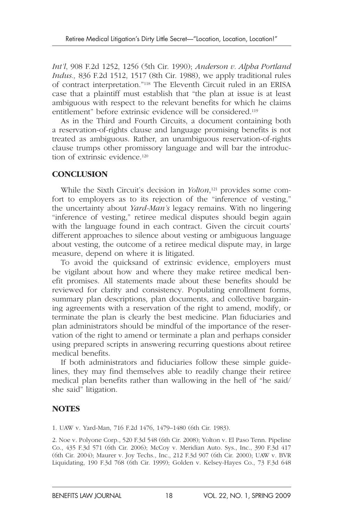*Int'l*, 908 F.2d 1252, 1256 (5th Cir. 1990); *Anderson v. Alpha Portland Indus.,* 836 F.2d 1512, 1517 (8th Cir. 1988), we apply traditional rules of contract interpretation." 118 The Eleventh Circuit ruled in an ERISA case that a plaintiff must establish that "the plan at issue is at least ambiguous with respect to the relevant benefits for which he claims entitlement" before extrinsic evidence will be considered. 119

As in the Third and Fourth Circuits, a document containing both a reservation-of-rights clause and language promising benefits is not treated as ambiguous. Rather, an unambiguous reservation-of-rights clause trumps other promissory language and will bar the introduction of extrinsic evidence.<sup>120</sup>

#### **CONCLUSION**

While the Sixth Circuit's decision in *Yolton*,<sup>121</sup> provides some comfort to employers as to its rejection of the "inference of vesting," the uncertainty about *Yard-Man's* legacy remains. With no lingering "inference of vesting," retiree medical disputes should begin again with the language found in each contract. Given the circuit courts' different approaches to silence about vesting or ambiguous language about vesting, the outcome of a retiree medical dispute may, in large measure, depend on where it is litigated.

To avoid the quicksand of extrinsic evidence, employers must be vigilant about how and where they make retiree medical benefit promises. All statements made about these benefits should be reviewed for clarity and consistency. Populating enrollment forms, summary plan descriptions, plan documents, and collective bargaining agreements with a reservation of the right to amend, modify, or terminate the plan is clearly the best medicine. Plan fiduciaries and plan administrators should be mindful of the importance of the reservation of the right to amend or terminate a plan and perhaps consider using prepared scripts in answering recurring questions about retiree medical benefits.

If both administrators and fiduciaries follow these simple guidelines, they may find themselves able to readily change their retiree medical plan benefits rather than wallowing in the hell of "he said/ she said" litigation.

# **NOTES**

1. UAW v. Yard-Man, 716 F.2d 1476, 1479–1480 (6th Cir. 1983).

2. Noe v. Polyone Corp., 520 F.3d 548 (6th Cir. 2008); Yolton v. El Paso Tenn. Pipeline Co., 435 F.3d 571 (6th Cir. 2006); McCoy v. Meridian Auto. Sys., Inc., 390 F.3d 417 (6th Cir. 2004); Maurer v. Joy Techs., Inc., 212 F.3d 907 (6th Cir. 2000); UAW v. BVR Liquidating, 190 F.3d 768 (6th Cir. 1999); Golden v. Kelsey-Hayes Co., 73 F.3d 648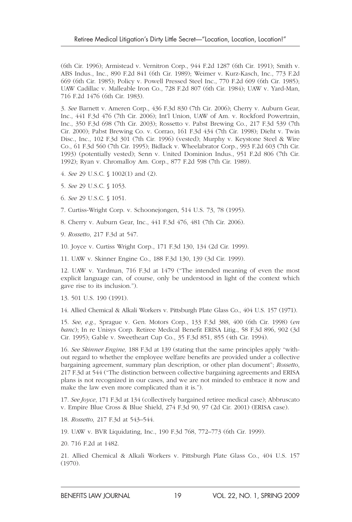(6th Cir. 1996); Armistead v. Vernitron Corp., 944 F.2d 1287 (6th Cir. 1991); Smith v. ABS Indus., Inc., 890 F.2d 841 (6th Cir. 1989); Weimer v. Kurz-Kasch, Inc., 773 F.2d 669 (6th Cir. 1985); Policy v. Powell Pressed Steel Inc., 770 F.2d 609 (6th Cir. 1985); UAW Cadillac v. Malleable Iron Co., 728 F.2d 807 (6th Cir. 1984); UAW v. Yard-Man, 716 F.2d 1476 (6th Cir. 1983).

3. *See* Barnett v. Ameren Corp., 436 F.3d 830 (7th Cir. 2006); Cherry v. Auburn Gear, Inc., 441 F.3d 476 (7th Cir. 2006); Int'l Union, UAW of Am. v. Rockford Powertrain, Inc., 350 F.3d 698 (7th Cir. 2003); Rossetto v. Pabst Brewing Co., 217 F.3d 539 (7th Cir. 2000); Pabst Brewing Co. v. Corrao, 161 F.3d 434 (7th Cir. 1998); Dieht v. Twin Disc., Inc., 102 F.3d 301 (7th Cir. 1996) (vested); Murphy v. Keystone Steel & Wire Co., 61 F.3d 560 (7th Cir. 1995); Bidlack v. Wheelabrator Corp., 993 F.2d 603 (7th Cir. 1993) (potentially vested); Senn v. United Dominion Indus., 951 F.2d 806 (7th Cir. 1992); Ryan v. Chromalloy Am. Corp., 877 F.2d 598 (7th Cir. 1989).

4. *See* 29 U.S.C. § 1002(1) and (2).

- 5. *See* 29 U.S.C. § 1053.
- 6. *See* 29 U.S.C. § 1051.

7. Curtiss-Wright Corp. v. Schoonejongen, 514 U.S. 73, 78 (1995).

8. Cherry v. Auburn Gear, Inc., 441 F.3d 476, 481 (7th Cir. 2006).

9. *Rossetto*, 217 F.3d at 547.

10. Joyce v. Curtiss Wright Corp., 171 F.3d 130, 134 (2d Cir. 1999).

11. UAW v. Skinner Engine Co., 188 F.3d 130, 139 (3d Cir. 1999).

12. UAW v. Yardman, 716 F.3d at 1479 ("The intended meaning of even the most explicit language can, of course, only be understood in light of the context which gave rise to its inclusion.").

13. 501 U.S. 190 (1991).

14. Allied Chemical & Alkali Workers v. Pittsburgh Plate Glass Co., 404 U.S. 157 (1971).

15. *See, e.g.,* Sprague v. Gen. Motors Corp., 133 F.3d 388, 400 (6th Cir. 1998) ( *en banc*); In re Unisys Corp. Retiree Medical Benefit ERISA Litig., 58 F.3d 896, 902 (3d Cir. 1995); Gable v. Sweetheart Cup Co., 35 F.3d 851, 855 (4th Cir. 1994).

16. *See Skinner Engine,* 188 F.3d at 139 (stating that the same principles apply "without regard to whether the employee welfare benefits are provided under a collective bargaining agreement, summary plan description, or other plan document"; *Rossetto*, 217 F.3d at 544 ("The distinction between collective bargaining agreements and ERISA plans is not recognized in our cases, and we are not minded to embrace it now and make the law even more complicated than it is.").

17. *See Joyce*, 171 F.3d at 134 (collectively bargained retiree medical case); Abbruscato v. Empire Blue Cross & Blue Shield, 274 F.3d 90, 97 (2d Cir. 2001) (ERISA case).

18. *Rossetto,* 217 F.3d at 543–544.

19. UAW v. BVR Liquidating, Inc., 190 F.3d 768, 772–773 (6th Cir. 1999).

20. 716 F.2d at 1482.

21. Allied Chemical & Alkali Workers v. Pittsburgh Plate Glass Co., 404 U.S. 157 (1970).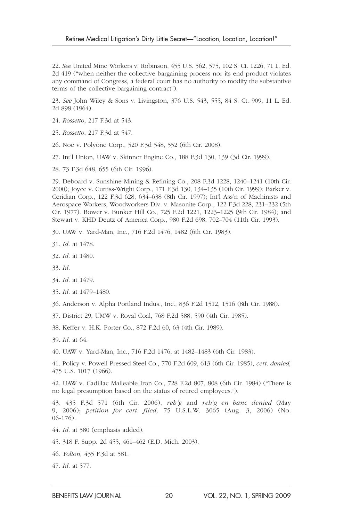22. *See* United Mine Workers v. Robinson, 455 U.S. 562, 575, 102 S. Ct. 1226, 71 L. Ed. 2d 419 ("when neither the collective bargaining process nor its end product violates any command of Congress, a federal court has no authority to modify the substantive terms of the collective bargaining contract").

23. *See* John Wiley & Sons v. Livingston, 376 U.S. 543, 555, 84 S. Ct. 909, 11 L. Ed. 2d 898 (1964).

- 24. *Rossetto*, 217 F.3d at 543.
- 25. *Rossetto*, 217 F.3d at 547.
- 26. Noe v. Polyone Corp., 520 F.3d 548, 552 (6th Cir. 2008).
- 27. Int'l Union, UAW v. Skinner Engine Co., 188 F.3d 130, 139 (3d Cir. 1999).
- 28. 73 F.3d 648, 655 (6th Cir. 1996).

29. Deboard v. Sunshine Mining & Refining Co., 208 F.3d 1228, 1240–1241 (10th Cir. 2000); Joyce v. Curtiss-Wright Corp., 171 F.3d 130, 134–135 (10th Cir. 1999); Barker v. Ceridian Corp., 122 F.3d 628, 634–638 (8th Cir. 1997); Int'l Ass'n of Machinists and Aerospace Workers, Woodworkers Div. v. Masonite Corp., 122 F.3d 228, 231–232 (5th Cir. 1977). Bower v. Bunker Hill Co., 725 F.2d 1221, 1223–1225 (9th Cir. 1984); and Stewart v. KHD Deutz of America Corp., 980 F.2d 698, 702–704 (11th Cir. 1993).

30. UAW v. Yard-Man, Inc., 716 F.2d 1476, 1482 (6th Cir. 1983).

- 31. *Id.* at 1478.
- 32. *Id.* at 1480.
- 33. *Id.*
- 34. *Id.* at 1479.
- 35. *Id.* at 1479–1480.
- 36. Anderson v. Alpha Portland Indus., Inc., 836 F.2d 1512, 1516 (8th Cir. 1988).
- 37. District 29, UMW v. Royal Coal, 768 F.2d 588, 590 (4th Cir. 1985).
- 38. Keffer v. H.K. Porter Co., 872 F.2d 60, 63 (4th Cir. 1989).
- 39. *Id.* at 64.

40. UAW v. Yard-Man, Inc., 716 F.2d 1476, at 1482–1483 (6th Cir. 1983).

41. Policy v. Powell Pressed Steel Co., 770 F.2d 609, 613 (6th Cir. 1985), *cert. denied,* 475 U.S. 1017 (1966).

42. UAW v. Cadillac Malleable Iron Co., 728 F.2d 807, 808 (6th Cir. 1984) ("There is no legal presumption based on the status of retired employees.").

43. 435 F.3d 571 (6th Cir. 2006), *reh'g* and *reh'g en banc denied* (May 9, 2006); *petition for cert. filed,* 75 U.S.L.W. 3065 (Aug. 3, 2006) (No. 06-176).

- 44. *Id.* at 580 (emphasis added).
- 45. 318 F. Supp. 2d 455, 461–462 (E.D. Mich. 2003).
- 46. *Yolton,* 435 F.3d at 581.
- 47. *Id.* at 577.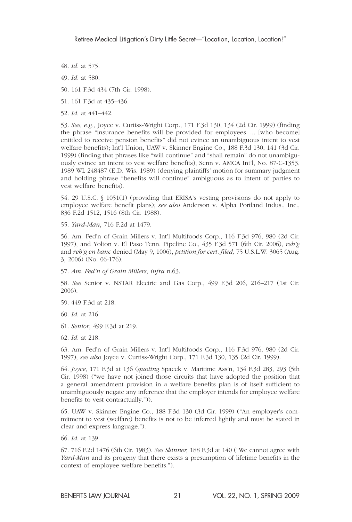- 48. *Id.* at 575.
- 49. *Id.* at 580.
- 50. 161 F.3d 434 (7th Cir. 1998).
- 51. 161 F.3d at 435–436.
- 52. *Id.* at 441–442.

53. *See, e.g.,* Joyce v. Curtiss-Wright Corp., 171 F.3d 130, 134 (2d Cir. 1999) (finding the phrase "insurance benefits will be provided for employees … [who become] entitled to receive pension benefits" did not evince an unambiguous intent to vest welfare benefits); Int'l Union, UAW v. Skinner Engine Co., 188 F.3d 130, 141 (3d Cir. 1999) (finding that phrases like "will continue" and "shall remain" do not unambiguously evince an intent to vest welfare benefits); Senn v. AMCA Int'l, No. 87-C-1353, 1989 WL 248487 (E.D. Wis. 1989) (denying plaintiffs' motion for summary judgment and holding phrase "benefits will continue" ambiguous as to intent of parties to vest welfare benefits).

54. 29 U.S.C. § 1051(1) (providing that ERISA's vesting provisions do not apply to employee welfare benefit plans); *see also* Anderson v. Alpha Portland Indus., Inc., 836 F.2d 1512, 1516 (8th Cir. 1988).

55. *Yard-Man*, 716 F.2d at 1479.

56. Am. Fed'n of Grain Millers v. Int'l Multifoods Corp., 116 F.3d 976, 980 (2d Cir. 1997), and Yolton v. El Paso Tenn. Pipeline Co., 435 F.3d 571 (6th Cir. 2006), *reh'g* and *reh'g en banc* denied (May 9, 1006), *petition for cert. filed,* 75 U.S.L.W. 3065 (Aug. 3, 2006) (No. 06-176).

57. *Am. Fed'n of Grain Millers*, *infra* n.63.

58. *See* Senior v. NSTAR Electric and Gas Corp., 499 F.3d 206, 216–217 (1st Cir. 2006).

59. 449 F.3d at 218.

60. *Id.* at 216.

61. *Senior*, 499 F.3d at 219.

62. *Id.* at 218.

63. Am. Fed'n of Grain Millers v. Int'l Multifoods Corp., 116 F.3d 976, 980 (2d Cir. 1997); *see also* Joyce v. Curtiss-Wright Corp., 171 F.3d 130, 135 (2d Cir. 1999).

64. *Joyce*, 171 F.3d at 136 ( *quoting* Spacek v. Maritime Ass'n, 134 F.3d 283, 293 (5th Cir. 1998) ("we have not joined those circuits that have adopted the position that a general amendment provision in a welfare benefits plan is of itself sufficient to unambiguously negate any inference that the employer intends for employee welfare benefits to vest contractually.")).

65. UAW v. Skinner Engine Co., 188 F.3d 130 (3d Cir. 1999) ("An employer's commitment to vest (welfare) benefits is not to be inferred lightly and must be stated in clear and express language.").

66. *Id.* at 139.

67. 716 F.2d 1476 (6th Cir. 1983). *See Skinner,* 188 F.3d at 140 ("We cannot agree with *Yard-Man* and its progeny that there exists a presumption of lifetime benefits in the context of employee welfare benefits.").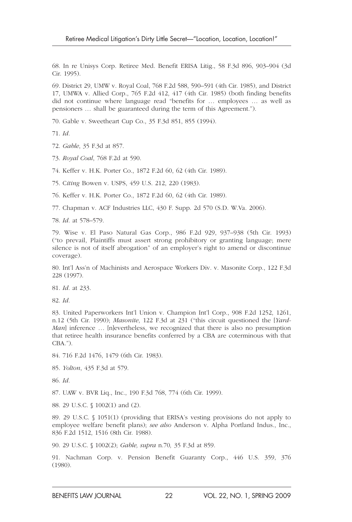68. In re Unisys Corp. Retiree Med. Benefit ERISA Litig., 58 F.3d 896, 903–904 (3d Cir. 1995).

69. District 29, UMW v. Royal Coal, 768 F.2d 588, 590–591 (4th Cir. 1985), and District 17, UMWA v. Allied Corp., 765 F.2d 412, 417 (4th Cir. 1985) (both finding benefits did not continue where language read "benefits for … employees … as well as pensioners … shall be guaranteed during the term of this Agreement.").

70. Gable v. Sweetheart Cup Co., 35 F.3d 851, 855 (1994).

71. *Id.*

72. *Gable*, 35 F.3d at 857.

73. *Royal Coal*, 768 F.2d at 590.

74. Keffer v. H.K. Porter Co., 1872 F.2d 60, 62 (4th Cir. 1989).

75. Citing Bowen v. USPS, 459 U.S. 212, 220 (1983).

76. Keffer v. H.K. Porter Co., 1872 F.2d 60, 62 (4th Cir. 1989).

77. Chapman v. ACF Industries LLC, 430 F. Supp. 2d 570 (S.D. W.Va. 2006).

78. *Id.* at 578–579.

79. Wise v. El Paso Natural Gas Corp., 986 F.2d 929, 937–938 (5th Cir. 1993) ("to prevail, Plaintiffs must assert strong prohibitory or granting language; mere silence is not of itself abrogation" of an employer's right to amend or discontinue coverage).

80. Int'l Ass'n of Machinists and Aerospace Workers Div. v. Masonite Corp., 122 F.3d 228 (1997).

81. *Id.* at 233.

82. *Id.*

83. United Paperworkers Int'l Union v. Champion Int'l Corp., 908 F.2d 1252, 1261, n.12 (5th Cir. 1990); *Masonite*, 122 F.3d at 231 ("this circuit questioned the [ *Yard-Man*] inference ... [n]evertheless, we recognized that there is also no presumption that retiree health insurance benefits conferred by a CBA are coterminous with that CBA.").

84. 716 F.2d 1476, 1479 (6th Cir. 1983).

85. *Yolton*, 435 F.3d at 579.

86. *Id.*

87. UAW v. BVR Liq., Inc., 190 F.3d 768, 774 (6th Cir. 1999).

88. 29 U.S.C. § 1002(1) and (2).

89. 29 U.S.C. § 1051(1) (providing that ERISA's vesting provisions do not apply to employee welfare benefit plans); *see also* Anderson v. Alpha Portland Indus., Inc., 836 F.2d 1512, 1516 (8th Cir. 1988).

90. 29 U.S.C. § 1002(2); *Gable, supra* n.70 *,* 35 F.3d at 859.

91. Nachman Corp. v. Pension Benefit Guaranty Corp., 446 U.S. 359, 376 (1980).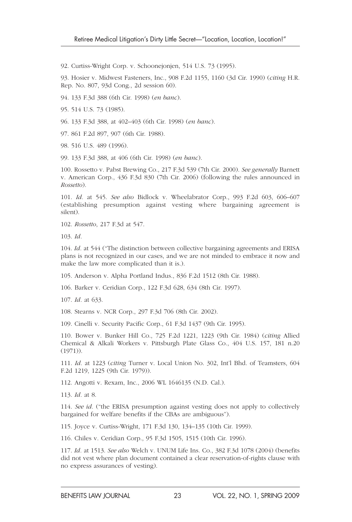92. Curtiss-Wright Corp. v. Schoonejonjen, 514 U.S. 73 (1995).

93. Hosier v. Midwest Fasteners, Inc., 908 F.2d 1155, 1160 (3d Cir. 1990) ( *citing* H.R. Rep. No. 807, 93d Cong., 2d session 60).

94. 133 F.3d 388 (6th Cir. 1998) ( *en banc*).

95. 514 U.S. 73 (1985).

96. 133 F.3d 388, at 402–403 (6th Cir. 1998) (*en banc*).

97. 861 F.2d 897, 907 (6th Cir. 1988).

98. 516 U.S. 489 (1996).

99. 133 F.3d 388, at 406 (6th Cir. 1998) (en banc).

100. Rossetto v. Pabst Brewing Co., 217 F.3d 539 (7th Cir. 2000). *See generally* Barnett v. American Corp., 436 F.3d 830 (7th Cir. 2006) (following the rules announced in *Rossetto*).

101. *Id.* at 545. *See also* Bidlock v. Wheelabrator Corp., 993 F.2d 603, 606–607 (establishing presumption against vesting where bargaining agreement is silent).

102. *Rossetto*, 217 F.3d at 547.

103. *Id.*

104. *Id.* at 544 ("The distinction between collective bargaining agreements and ERISA plans is not recognized in our cases, and we are not minded to embrace it now and make the law more complicated than it is.).

105. Anderson v. Alpha Portland Indus., 836 F.2d 1512 (8th Cir. 1988).

106. Barker v. Ceridian Corp., 122 F.3d 628, 634 (8th Cir. 1997).

107. *Id.* at 633.

108. Stearns v. NCR Corp., 297 F.3d 706 (8th Cir. 2002).

109. Cinelli v. Security Pacific Corp., 61 F.3d 1437 (9th Cir. 1995).

110. Bower v. Bunker Hill Co., 725 F.2d 1221, 1223 (9th Cir. 1984) ( *citing* Allied Chemical & Alkali Workers v. Pittsburgh Plate Glass Co., 404 U.S. 157, 181 n.20 (1971)).

111. *Id.* at 1223 ( *citing* Turner v. Local Union No. 302, Int'l Bhd. of Teamsters, 604 F.2d 1219, 1225 (9th Cir. 1979)).

112. Angotti v. Rexam, Inc., 2006 WL 1646135 (N.D. Cal.).

113. *Id.* at 8.

114. *See id.* ("the ERISA presumption against vesting does not apply to collectively bargained for welfare benefits if the CBAs are ambiguous").

115. Joyce v. Curtiss-Wright, 171 F.3d 130, 134–135 (10th Cir. 1999).

116. Chiles v. Ceridian Corp., 95 F.3d 1505, 1515 (10th Cir. 1996).

117. *Id.* at 1513. *See also* Welch v. UNUM Life Ins. Co., 382 F.3d 1078 (2004) (benefits did not vest where plan document contained a clear reservation-of-rights clause with no express assurances of vesting).